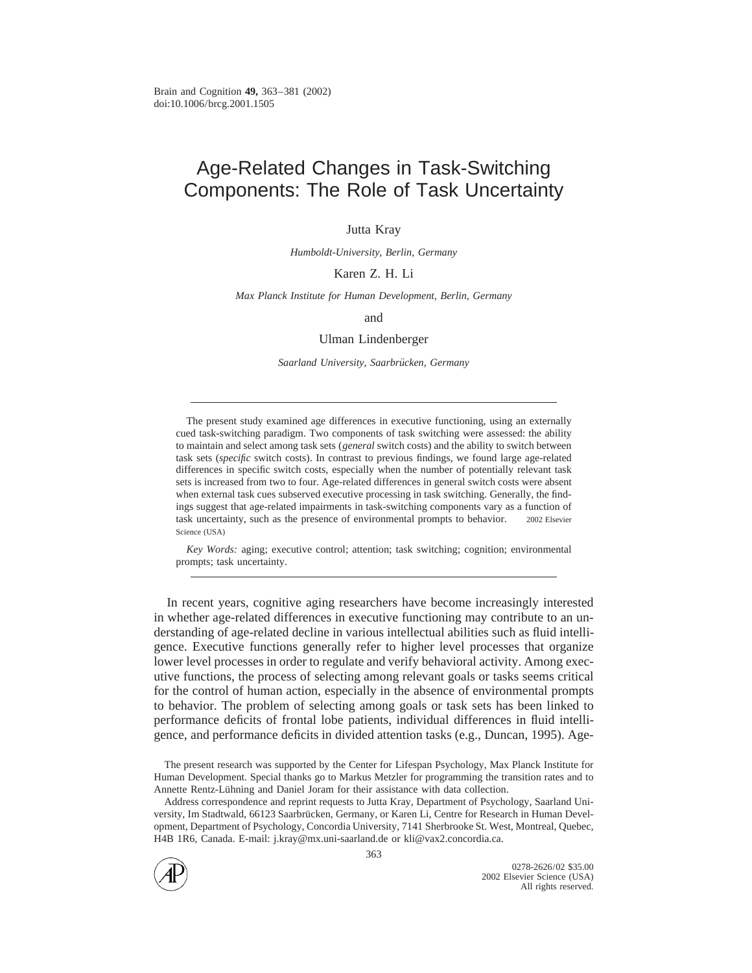# Age-Related Changes in Task-Switching Components: The Role of Task Uncertainty

Jutta Kray

*Humboldt-University, Berlin, Germany*

Karen Z. H. Li

*Max Planck Institute for Human Development, Berlin, Germany*

and

## Ulman Lindenberger

*Saarland University, Saarbru¨cken, Germany*

The present study examined age differences in executive functioning, using an externally cued task-switching paradigm. Two components of task switching were assessed: the ability to maintain and select among task sets (*general* switch costs) and the ability to switch between task sets (*specific* switch costs). In contrast to previous findings, we found large age-related differences in specific switch costs, especially when the number of potentially relevant task sets is increased from two to four. Age-related differences in general switch costs were absent when external task cues subserved executive processing in task switching. Generally, the findings suggest that age-related impairments in task-switching components vary as a function of task uncertainty, such as the presence of environmental prompts to behavior.  $\circ$  2002 Elsevier Science (USA)

*Key Words:* aging; executive control; attention; task switching; cognition; environmental prompts; task uncertainty.

In recent years, cognitive aging researchers have become increasingly interested in whether age-related differences in executive functioning may contribute to an understanding of age-related decline in various intellectual abilities such as fluid intelligence. Executive functions generally refer to higher level processes that organize lower level processes in order to regulate and verify behavioral activity. Among executive functions, the process of selecting among relevant goals or tasks seems critical for the control of human action, especially in the absence of environmental prompts to behavior. The problem of selecting among goals or task sets has been linked to performance deficits of frontal lobe patients, individual differences in fluid intelligence, and performance deficits in divided attention tasks (e.g., Duncan, 1995). Age-

The present research was supported by the Center for Lifespan Psychology, Max Planck Institute for Human Development. Special thanks go to Markus Metzler for programming the transition rates and to Annette Rentz-Lühning and Daniel Joram for their assistance with data collection.

Address correspondence and reprint requests to Jutta Kray, Department of Psychology, Saarland University, Im Stadtwald, 66123 Saarbrücken, Germany, or Karen Li, Centre for Research in Human Development, Department of Psychology, Concordia University, 7141 Sherbrooke St. West, Montreal, Quebec, H4B 1R6, Canada. E-mail: j.kray@mx.uni-saarland.de or kli@vax2.concordia.ca.

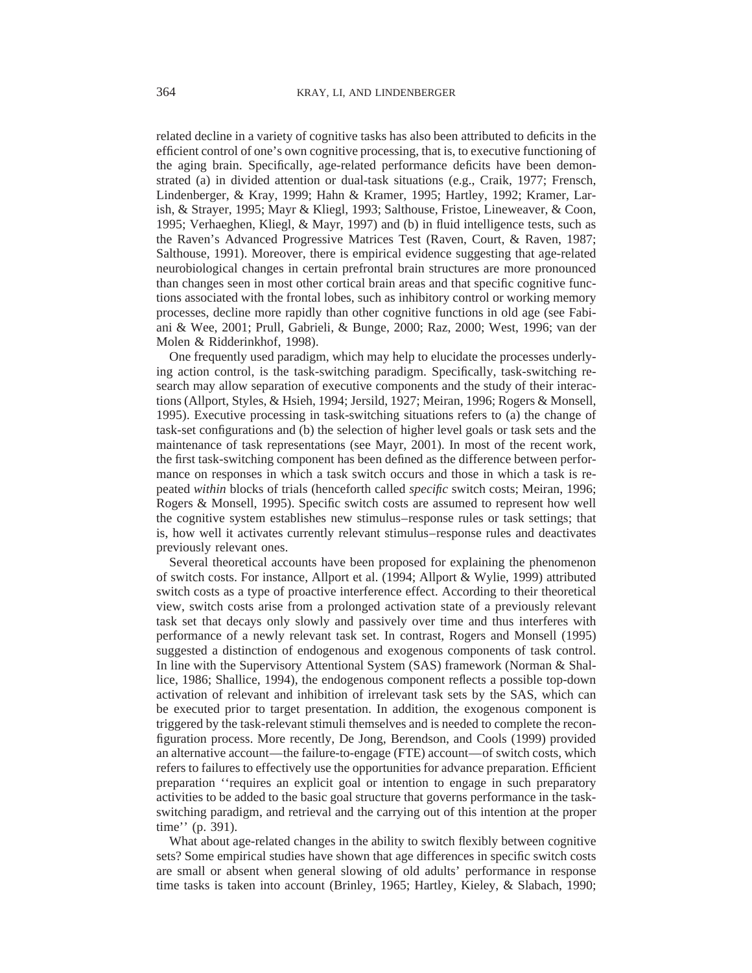related decline in a variety of cognitive tasks has also been attributed to deficits in the efficient control of one's own cognitive processing, that is, to executive functioning of the aging brain. Specifically, age-related performance deficits have been demonstrated (a) in divided attention or dual-task situations (e.g., Craik, 1977; Frensch, Lindenberger, & Kray, 1999; Hahn & Kramer, 1995; Hartley, 1992; Kramer, Larish, & Strayer, 1995; Mayr & Kliegl, 1993; Salthouse, Fristoe, Lineweaver, & Coon, 1995; Verhaeghen, Kliegl, & Mayr, 1997) and (b) in fluid intelligence tests, such as the Raven's Advanced Progressive Matrices Test (Raven, Court, & Raven, 1987; Salthouse, 1991). Moreover, there is empirical evidence suggesting that age-related neurobiological changes in certain prefrontal brain structures are more pronounced than changes seen in most other cortical brain areas and that specific cognitive functions associated with the frontal lobes, such as inhibitory control or working memory processes, decline more rapidly than other cognitive functions in old age (see Fabiani & Wee, 2001; Prull, Gabrieli, & Bunge, 2000; Raz, 2000; West, 1996; van der Molen & Ridderinkhof, 1998).

One frequently used paradigm, which may help to elucidate the processes underlying action control, is the task-switching paradigm. Specifically, task-switching research may allow separation of executive components and the study of their interactions (Allport, Styles, & Hsieh, 1994; Jersild, 1927; Meiran, 1996; Rogers & Monsell, 1995). Executive processing in task-switching situations refers to (a) the change of task-set configurations and (b) the selection of higher level goals or task sets and the maintenance of task representations (see Mayr, 2001). In most of the recent work, the first task-switching component has been defined as the difference between performance on responses in which a task switch occurs and those in which a task is repeated *within* blocks of trials (henceforth called *specific* switch costs; Meiran, 1996; Rogers & Monsell, 1995). Specific switch costs are assumed to represent how well the cognitive system establishes new stimulus–response rules or task settings; that is, how well it activates currently relevant stimulus–response rules and deactivates previously relevant ones.

Several theoretical accounts have been proposed for explaining the phenomenon of switch costs. For instance, Allport et al. (1994; Allport & Wylie, 1999) attributed switch costs as a type of proactive interference effect. According to their theoretical view, switch costs arise from a prolonged activation state of a previously relevant task set that decays only slowly and passively over time and thus interferes with performance of a newly relevant task set. In contrast, Rogers and Monsell (1995) suggested a distinction of endogenous and exogenous components of task control. In line with the Supervisory Attentional System (SAS) framework (Norman & Shallice, 1986; Shallice, 1994), the endogenous component reflects a possible top-down activation of relevant and inhibition of irrelevant task sets by the SAS, which can be executed prior to target presentation. In addition, the exogenous component is triggered by the task-relevant stimuli themselves and is needed to complete the reconfiguration process. More recently, De Jong, Berendson, and Cools (1999) provided an alternative account—the failure-to-engage (FTE) account—of switch costs, which refers to failures to effectively use the opportunities for advance preparation. Efficient preparation ''requires an explicit goal or intention to engage in such preparatory activities to be added to the basic goal structure that governs performance in the taskswitching paradigm, and retrieval and the carrying out of this intention at the proper time'' (p. 391).

What about age-related changes in the ability to switch flexibly between cognitive sets? Some empirical studies have shown that age differences in specific switch costs are small or absent when general slowing of old adults' performance in response time tasks is taken into account (Brinley, 1965; Hartley, Kieley, & Slabach, 1990;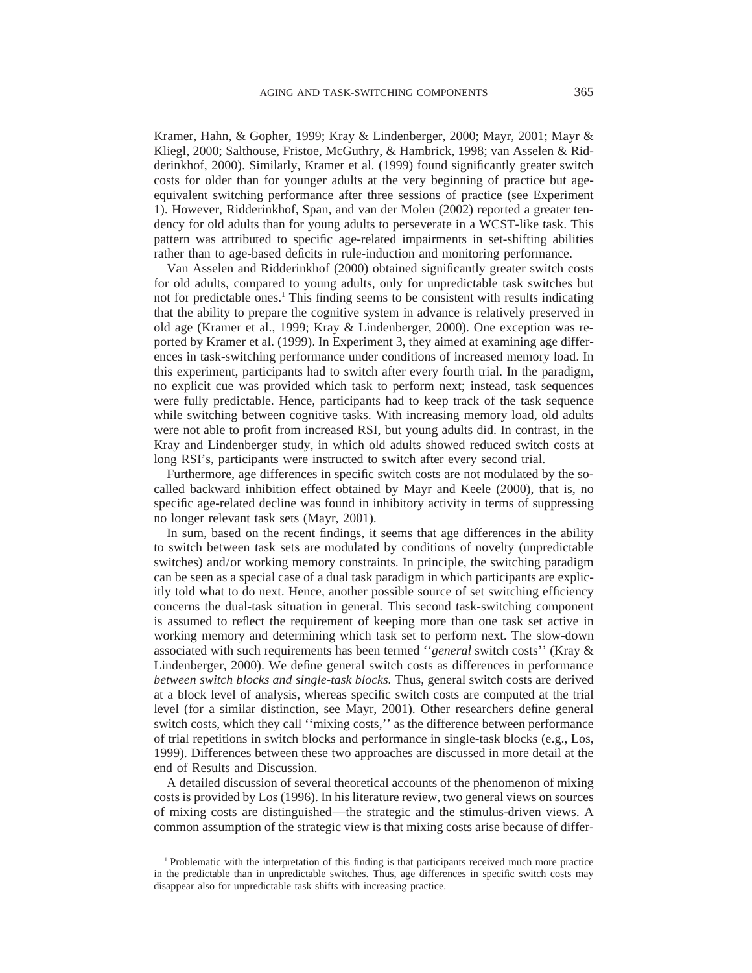Kramer, Hahn, & Gopher, 1999; Kray & Lindenberger, 2000; Mayr, 2001; Mayr & Kliegl, 2000; Salthouse, Fristoe, McGuthry, & Hambrick, 1998; van Asselen & Ridderinkhof, 2000). Similarly, Kramer et al. (1999) found significantly greater switch costs for older than for younger adults at the very beginning of practice but ageequivalent switching performance after three sessions of practice (see Experiment 1). However, Ridderinkhof, Span, and van der Molen (2002) reported a greater tendency for old adults than for young adults to perseverate in a WCST-like task. This pattern was attributed to specific age-related impairments in set-shifting abilities rather than to age-based deficits in rule-induction and monitoring performance.

Van Asselen and Ridderinkhof (2000) obtained significantly greater switch costs for old adults, compared to young adults, only for unpredictable task switches but not for predictable ones.<sup>1</sup> This finding seems to be consistent with results indicating that the ability to prepare the cognitive system in advance is relatively preserved in old age (Kramer et al., 1999; Kray & Lindenberger, 2000). One exception was reported by Kramer et al. (1999). In Experiment 3, they aimed at examining age differences in task-switching performance under conditions of increased memory load. In this experiment, participants had to switch after every fourth trial. In the paradigm, no explicit cue was provided which task to perform next; instead, task sequences were fully predictable. Hence, participants had to keep track of the task sequence while switching between cognitive tasks. With increasing memory load, old adults were not able to profit from increased RSI, but young adults did. In contrast, in the Kray and Lindenberger study, in which old adults showed reduced switch costs at long RSI's, participants were instructed to switch after every second trial.

Furthermore, age differences in specific switch costs are not modulated by the socalled backward inhibition effect obtained by Mayr and Keele (2000), that is, no specific age-related decline was found in inhibitory activity in terms of suppressing no longer relevant task sets (Mayr, 2001).

In sum, based on the recent findings, it seems that age differences in the ability to switch between task sets are modulated by conditions of novelty (unpredictable switches) and/or working memory constraints. In principle, the switching paradigm can be seen as a special case of a dual task paradigm in which participants are explicitly told what to do next. Hence, another possible source of set switching efficiency concerns the dual-task situation in general. This second task-switching component is assumed to reflect the requirement of keeping more than one task set active in working memory and determining which task set to perform next. The slow-down associated with such requirements has been termed ''*general* switch costs'' (Kray & Lindenberger, 2000). We define general switch costs as differences in performance *between switch blocks and single-task blocks.* Thus, general switch costs are derived at a block level of analysis, whereas specific switch costs are computed at the trial level (for a similar distinction, see Mayr, 2001). Other researchers define general switch costs, which they call ''mixing costs,'' as the difference between performance of trial repetitions in switch blocks and performance in single-task blocks (e.g., Los, 1999). Differences between these two approaches are discussed in more detail at the end of Results and Discussion.

A detailed discussion of several theoretical accounts of the phenomenon of mixing costs is provided by Los (1996). In his literature review, two general views on sources of mixing costs are distinguished—the strategic and the stimulus-driven views. A common assumption of the strategic view is that mixing costs arise because of differ-

<sup>&</sup>lt;sup>1</sup> Problematic with the interpretation of this finding is that participants received much more practice in the predictable than in unpredictable switches. Thus, age differences in specific switch costs may disappear also for unpredictable task shifts with increasing practice.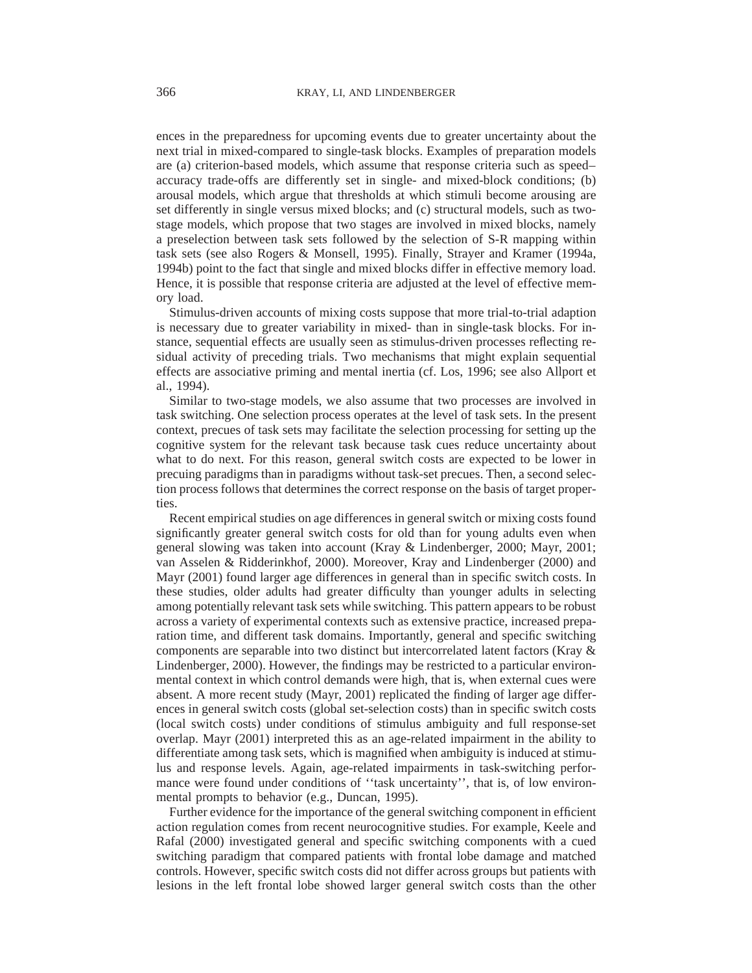ences in the preparedness for upcoming events due to greater uncertainty about the next trial in mixed-compared to single-task blocks. Examples of preparation models are (a) criterion-based models, which assume that response criteria such as speed– accuracy trade-offs are differently set in single- and mixed-block conditions; (b) arousal models, which argue that thresholds at which stimuli become arousing are set differently in single versus mixed blocks; and (c) structural models, such as twostage models, which propose that two stages are involved in mixed blocks, namely a preselection between task sets followed by the selection of S-R mapping within task sets (see also Rogers & Monsell, 1995). Finally, Strayer and Kramer (1994a, 1994b) point to the fact that single and mixed blocks differ in effective memory load. Hence, it is possible that response criteria are adjusted at the level of effective memory load.

Stimulus-driven accounts of mixing costs suppose that more trial-to-trial adaption is necessary due to greater variability in mixed- than in single-task blocks. For instance, sequential effects are usually seen as stimulus-driven processes reflecting residual activity of preceding trials. Two mechanisms that might explain sequential effects are associative priming and mental inertia (cf. Los, 1996; see also Allport et al., 1994).

Similar to two-stage models, we also assume that two processes are involved in task switching. One selection process operates at the level of task sets. In the present context, precues of task sets may facilitate the selection processing for setting up the cognitive system for the relevant task because task cues reduce uncertainty about what to do next. For this reason, general switch costs are expected to be lower in precuing paradigms than in paradigms without task-set precues. Then, a second selection process follows that determines the correct response on the basis of target properties.

Recent empirical studies on age differences in general switch or mixing costs found significantly greater general switch costs for old than for young adults even when general slowing was taken into account (Kray & Lindenberger, 2000; Mayr, 2001; van Asselen & Ridderinkhof, 2000). Moreover, Kray and Lindenberger (2000) and Mayr (2001) found larger age differences in general than in specific switch costs. In these studies, older adults had greater difficulty than younger adults in selecting among potentially relevant task sets while switching. This pattern appears to be robust across a variety of experimental contexts such as extensive practice, increased preparation time, and different task domains. Importantly, general and specific switching components are separable into two distinct but intercorrelated latent factors (Kray & Lindenberger, 2000). However, the findings may be restricted to a particular environmental context in which control demands were high, that is, when external cues were absent. A more recent study (Mayr, 2001) replicated the finding of larger age differences in general switch costs (global set-selection costs) than in specific switch costs (local switch costs) under conditions of stimulus ambiguity and full response-set overlap. Mayr (2001) interpreted this as an age-related impairment in the ability to differentiate among task sets, which is magnified when ambiguity is induced at stimulus and response levels. Again, age-related impairments in task-switching performance were found under conditions of ''task uncertainty'', that is, of low environmental prompts to behavior (e.g., Duncan, 1995).

Further evidence for the importance of the general switching component in efficient action regulation comes from recent neurocognitive studies. For example, Keele and Rafal (2000) investigated general and specific switching components with a cued switching paradigm that compared patients with frontal lobe damage and matched controls. However, specific switch costs did not differ across groups but patients with lesions in the left frontal lobe showed larger general switch costs than the other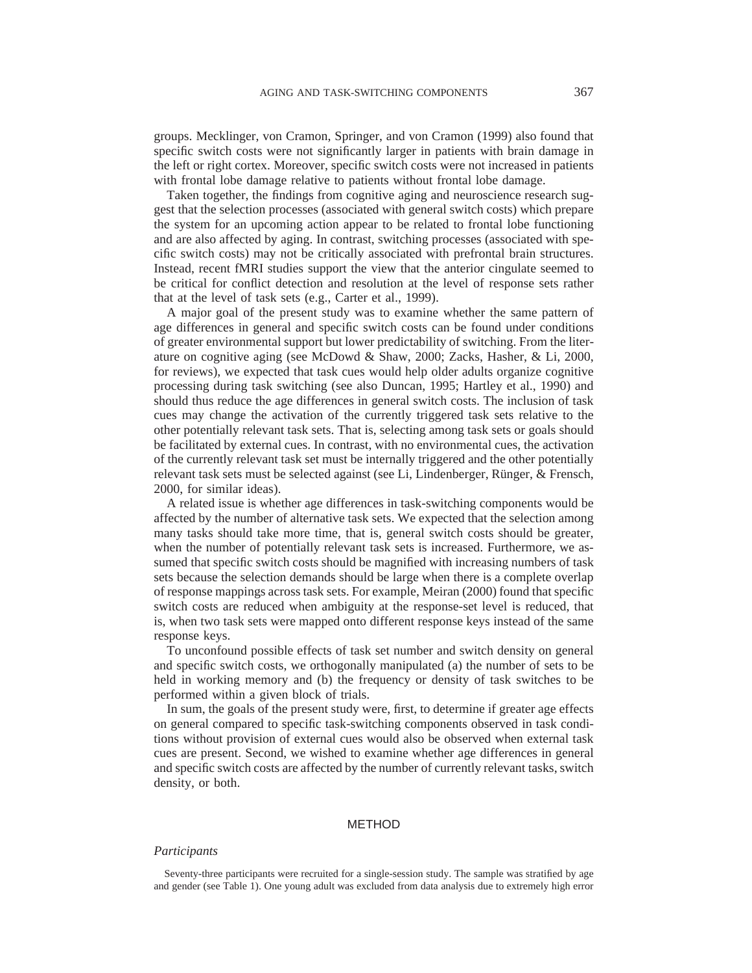groups. Mecklinger, von Cramon, Springer, and von Cramon (1999) also found that specific switch costs were not significantly larger in patients with brain damage in the left or right cortex. Moreover, specific switch costs were not increased in patients with frontal lobe damage relative to patients without frontal lobe damage.

Taken together, the findings from cognitive aging and neuroscience research suggest that the selection processes (associated with general switch costs) which prepare the system for an upcoming action appear to be related to frontal lobe functioning and are also affected by aging. In contrast, switching processes (associated with specific switch costs) may not be critically associated with prefrontal brain structures. Instead, recent fMRI studies support the view that the anterior cingulate seemed to be critical for conflict detection and resolution at the level of response sets rather that at the level of task sets (e.g., Carter et al., 1999).

A major goal of the present study was to examine whether the same pattern of age differences in general and specific switch costs can be found under conditions of greater environmental support but lower predictability of switching. From the literature on cognitive aging (see McDowd & Shaw, 2000; Zacks, Hasher, & Li, 2000, for reviews), we expected that task cues would help older adults organize cognitive processing during task switching (see also Duncan, 1995; Hartley et al., 1990) and should thus reduce the age differences in general switch costs. The inclusion of task cues may change the activation of the currently triggered task sets relative to the other potentially relevant task sets. That is, selecting among task sets or goals should be facilitated by external cues. In contrast, with no environmental cues, the activation of the currently relevant task set must be internally triggered and the other potentially relevant task sets must be selected against (see Li, Lindenberger, Rünger, & Frensch, 2000, for similar ideas).

A related issue is whether age differences in task-switching components would be affected by the number of alternative task sets. We expected that the selection among many tasks should take more time, that is, general switch costs should be greater, when the number of potentially relevant task sets is increased. Furthermore, we assumed that specific switch costs should be magnified with increasing numbers of task sets because the selection demands should be large when there is a complete overlap of response mappings across task sets. For example, Meiran (2000) found that specific switch costs are reduced when ambiguity at the response-set level is reduced, that is, when two task sets were mapped onto different response keys instead of the same response keys.

To unconfound possible effects of task set number and switch density on general and specific switch costs, we orthogonally manipulated (a) the number of sets to be held in working memory and (b) the frequency or density of task switches to be performed within a given block of trials.

In sum, the goals of the present study were, first, to determine if greater age effects on general compared to specific task-switching components observed in task conditions without provision of external cues would also be observed when external task cues are present. Second, we wished to examine whether age differences in general and specific switch costs are affected by the number of currently relevant tasks, switch density, or both.

# METHOD

#### *Participants*

Seventy-three participants were recruited for a single-session study. The sample was stratified by age and gender (see Table 1). One young adult was excluded from data analysis due to extremely high error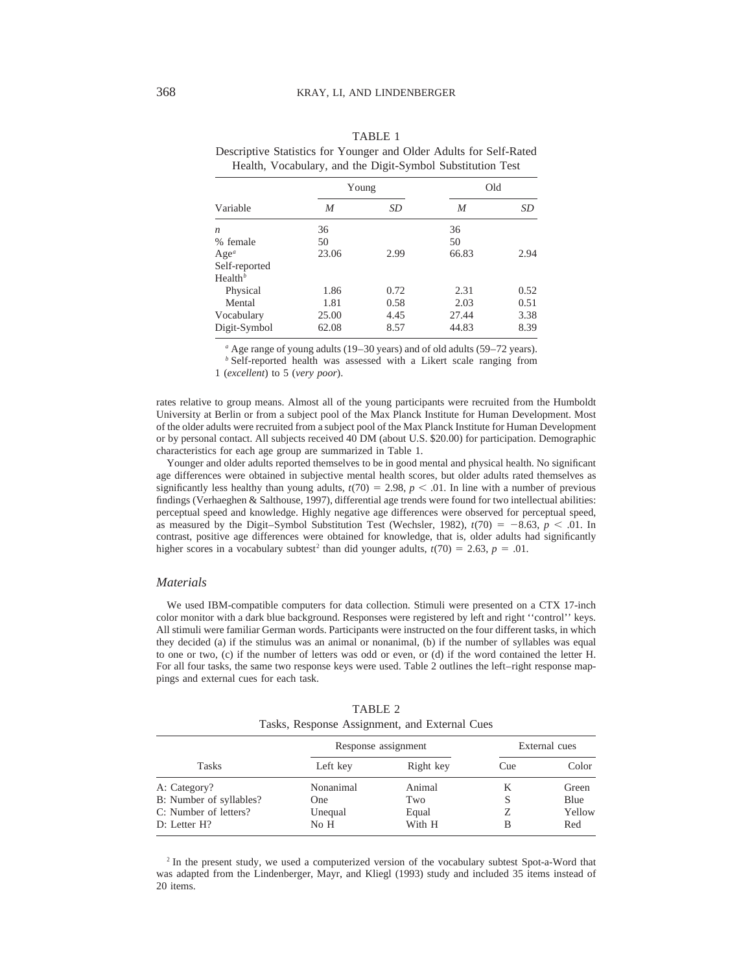|               |       | $\sim$ |       |      |  |
|---------------|-------|--------|-------|------|--|
|               | Young |        | Old   |      |  |
| Variable      | M     | SD     | M     | SD   |  |
| n             | 36    |        | 36    |      |  |
| % female      | 50    |        | 50    |      |  |
| $Age^a$       | 23.06 | 2.99   | 66.83 | 2.94 |  |
| Self-reported |       |        |       |      |  |
| Health $^b$   |       |        |       |      |  |
| Physical      | 1.86  | 0.72   | 2.31  | 0.52 |  |
| Mental        | 1.81  | 0.58   | 2.03  | 0.51 |  |
| Vocabulary    | 25.00 | 4.45   | 27.44 | 3.38 |  |
| Digit-Symbol  | 62.08 | 8.57   | 44.83 | 8.39 |  |
|               |       |        |       |      |  |

TABLE 1 Descriptive Statistics for Younger and Older Adults for Self-Rated Health, Vocabulary, and the Digit-Symbol Substitution Test

*<sup>a</sup>* Age range of young adults (19–30 years) and of old adults (59–72 years).

*b* Self-reported health was assessed with a Likert scale ranging from

1 (*excellent*) to 5 (*very poor*).

rates relative to group means. Almost all of the young participants were recruited from the Humboldt University at Berlin or from a subject pool of the Max Planck Institute for Human Development. Most of the older adults were recruited from a subject pool of the Max Planck Institute for Human Development or by personal contact. All subjects received 40 DM (about U.S. \$20.00) for participation. Demographic characteristics for each age group are summarized in Table 1.

Younger and older adults reported themselves to be in good mental and physical health. No significant age differences were obtained in subjective mental health scores, but older adults rated themselves as significantly less healthy than young adults,  $t(70) = 2.98$ ,  $p < .01$ . In line with a number of previous findings (Verhaeghen & Salthouse, 1997), differential age trends were found for two intellectual abilities: perceptual speed and knowledge. Highly negative age differences were observed for perceptual speed, as measured by the Digit–Symbol Substitution Test (Wechsler, 1982),  $t(70) = -8.63$ ,  $p < .01$ . In contrast, positive age differences were obtained for knowledge, that is, older adults had significantly higher scores in a vocabulary subtest<sup>2</sup> than did younger adults,  $t(70) = 2.63$ ,  $p = .01$ .

#### *Materials*

We used IBM-compatible computers for data collection. Stimuli were presented on a CTX 17-inch color monitor with a dark blue background. Responses were registered by left and right ''control'' keys. All stimuli were familiar German words. Participants were instructed on the four different tasks, in which they decided (a) if the stimulus was an animal or nonanimal, (b) if the number of syllables was equal to one or two, (c) if the number of letters was odd or even, or (d) if the word contained the letter H. For all four tasks, the same two response keys were used. Table 2 outlines the left–right response mappings and external cues for each task.

| <b>Tasks</b>            | Response assignment | External cues |     |        |
|-------------------------|---------------------|---------------|-----|--------|
|                         | Left key            | Right key     | Cue | Color  |
| A: Category?            | Nonanimal           | Animal        | K   | Green  |
| B: Number of syllables? | <b>One</b>          | Two           | S   | Blue   |
| C: Number of letters?   | Unequal             | Equal         | Z   | Yellow |
| $D:$ Letter $H$ ?       | No H                | With H        | в   | Red    |

TABLE 2 Tasks, Response Assignment, and External Cues

<sup>2</sup> In the present study, we used a computerized version of the vocabulary subtest Spot-a-Word that was adapted from the Lindenberger, Mayr, and Kliegl (1993) study and included 35 items instead of 20 items.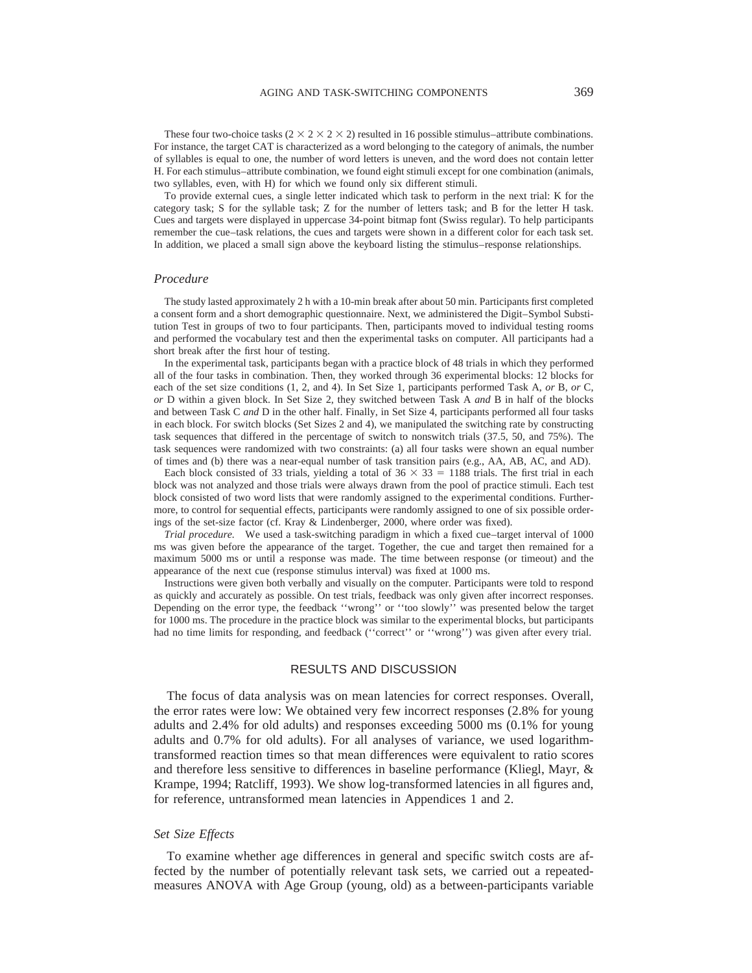These four two-choice tasks  $(2 \times 2 \times 2 \times 2)$  resulted in 16 possible stimulus–attribute combinations. For instance, the target CAT is characterized as a word belonging to the category of animals, the number of syllables is equal to one, the number of word letters is uneven, and the word does not contain letter H. For each stimulus–attribute combination, we found eight stimuli except for one combination (animals, two syllables, even, with H) for which we found only six different stimuli.

To provide external cues, a single letter indicated which task to perform in the next trial: K for the category task; S for the syllable task; Z for the number of letters task; and B for the letter H task. Cues and targets were displayed in uppercase 34-point bitmap font (Swiss regular). To help participants remember the cue–task relations, the cues and targets were shown in a different color for each task set. In addition, we placed a small sign above the keyboard listing the stimulus–response relationships.

## *Procedure*

The study lasted approximately 2 h with a 10-min break after about 50 min. Participants first completed a consent form and a short demographic questionnaire. Next, we administered the Digit–Symbol Substitution Test in groups of two to four participants. Then, participants moved to individual testing rooms and performed the vocabulary test and then the experimental tasks on computer. All participants had a short break after the first hour of testing.

In the experimental task, participants began with a practice block of 48 trials in which they performed all of the four tasks in combination. Then, they worked through 36 experimental blocks: 12 blocks for each of the set size conditions (1, 2, and 4). In Set Size 1, participants performed Task A, *or* B, *or* C, *or* D within a given block. In Set Size 2, they switched between Task A *and* B in half of the blocks and between Task C *and* D in the other half. Finally, in Set Size 4, participants performed all four tasks in each block. For switch blocks (Set Sizes 2 and 4), we manipulated the switching rate by constructing task sequences that differed in the percentage of switch to nonswitch trials (37.5, 50, and 75%). The task sequences were randomized with two constraints: (a) all four tasks were shown an equal number of times and (b) there was a near-equal number of task transition pairs (e.g., AA, AB, AC, and AD).

Each block consisted of 33 trials, yielding a total of  $36 \times 33 = 1188$  trials. The first trial in each block was not analyzed and those trials were always drawn from the pool of practice stimuli. Each test block consisted of two word lists that were randomly assigned to the experimental conditions. Furthermore, to control for sequential effects, participants were randomly assigned to one of six possible orderings of the set-size factor (cf. Kray & Lindenberger, 2000, where order was fixed).

*Trial procedure.* We used a task-switching paradigm in which a fixed cue–target interval of 1000 ms was given before the appearance of the target. Together, the cue and target then remained for a maximum 5000 ms or until a response was made. The time between response (or timeout) and the appearance of the next cue (response stimulus interval) was fixed at 1000 ms.

Instructions were given both verbally and visually on the computer. Participants were told to respond as quickly and accurately as possible. On test trials, feedback was only given after incorrect responses. Depending on the error type, the feedback ''wrong'' or ''too slowly'' was presented below the target for 1000 ms. The procedure in the practice block was similar to the experimental blocks, but participants had no time limits for responding, and feedback ("correct" or "wrong") was given after every trial.

# RESULTS AND DISCUSSION

The focus of data analysis was on mean latencies for correct responses. Overall, the error rates were low: We obtained very few incorrect responses (2.8% for young adults and 2.4% for old adults) and responses exceeding 5000 ms (0.1% for young adults and 0.7% for old adults). For all analyses of variance, we used logarithmtransformed reaction times so that mean differences were equivalent to ratio scores and therefore less sensitive to differences in baseline performance (Kliegl, Mayr, & Krampe, 1994; Ratcliff, 1993). We show log-transformed latencies in all figures and, for reference, untransformed mean latencies in Appendices 1 and 2.

## *Set Size Effects*

To examine whether age differences in general and specific switch costs are affected by the number of potentially relevant task sets, we carried out a repeatedmeasures ANOVA with Age Group (young, old) as a between-participants variable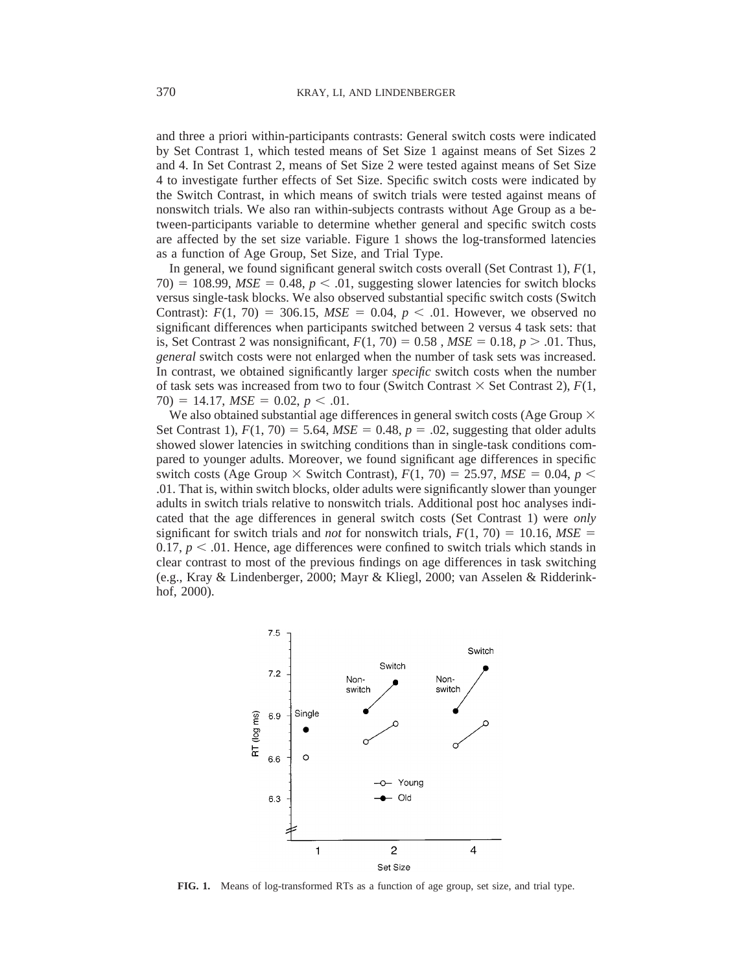and three a priori within-participants contrasts: General switch costs were indicated by Set Contrast 1, which tested means of Set Size 1 against means of Set Sizes 2 and 4. In Set Contrast 2, means of Set Size 2 were tested against means of Set Size 4 to investigate further effects of Set Size. Specific switch costs were indicated by the Switch Contrast, in which means of switch trials were tested against means of nonswitch trials. We also ran within-subjects contrasts without Age Group as a between-participants variable to determine whether general and specific switch costs are affected by the set size variable. Figure 1 shows the log-transformed latencies as a function of Age Group, Set Size, and Trial Type.

In general, we found significant general switch costs overall (Set Contrast 1), *F*(1,  $70) = 108.99$ ,  $MSE = 0.48$ ,  $p < .01$ , suggesting slower latencies for switch blocks versus single-task blocks. We also observed substantial specific switch costs (Switch Contrast):  $F(1, 70) = 306.15$ ,  $MSE = 0.04$ ,  $p < .01$ . However, we observed no significant differences when participants switched between 2 versus 4 task sets: that is, Set Contrast 2 was nonsignificant,  $F(1, 70) = 0.58$ ,  $MSE = 0.18$ ,  $p > .01$ . Thus, *general* switch costs were not enlarged when the number of task sets was increased. In contrast, we obtained significantly larger *specific* switch costs when the number of task sets was increased from two to four (Switch Contrast  $\times$  Set Contrast 2),  $F(1, 1)$  $70) = 14.17$ ,  $MSE = 0.02$ ,  $p < .01$ .

We also obtained substantial age differences in general switch costs (Age Group  $\times$ Set Contrast 1),  $F(1, 70) = 5.64$ ,  $MSE = 0.48$ ,  $p = .02$ , suggesting that older adults showed slower latencies in switching conditions than in single-task conditions compared to younger adults. Moreover, we found significant age differences in specific switch costs (Age Group  $\times$  Switch Contrast),  $F(1, 70) = 25.97$ ,  $MSE = 0.04$ ,  $p <$ .01. That is, within switch blocks, older adults were significantly slower than younger adults in switch trials relative to nonswitch trials. Additional post hoc analyses indicated that the age differences in general switch costs (Set Contrast 1) were *only* significant for switch trials and *not* for nonswitch trials,  $F(1, 70) = 10.16$ ,  $MSE =$ 0.17,  $p < .01$ . Hence, age differences were confined to switch trials which stands in clear contrast to most of the previous findings on age differences in task switching (e.g., Kray & Lindenberger, 2000; Mayr & Kliegl, 2000; van Asselen & Ridderinkhof, 2000).



**FIG. 1.** Means of log-transformed RTs as a function of age group, set size, and trial type.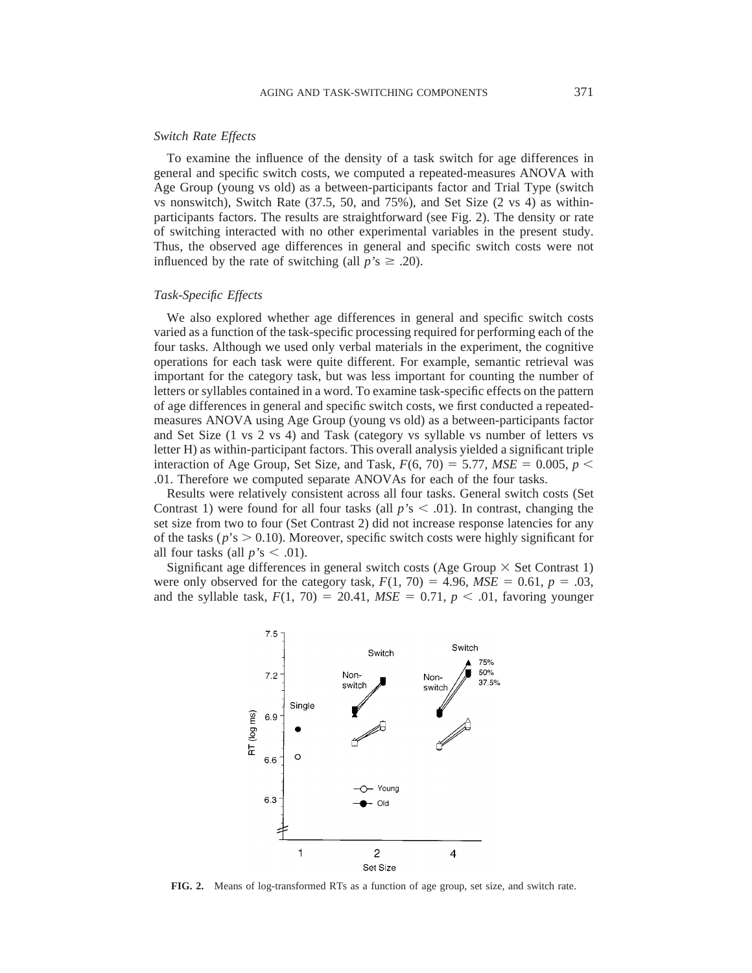#### *Switch Rate Effects*

To examine the influence of the density of a task switch for age differences in general and specific switch costs, we computed a repeated-measures ANOVA with Age Group (young vs old) as a between-participants factor and Trial Type (switch vs nonswitch), Switch Rate (37.5, 50, and 75%), and Set Size (2 vs 4) as withinparticipants factors. The results are straightforward (see Fig. 2). The density or rate of switching interacted with no other experimental variables in the present study. Thus, the observed age differences in general and specific switch costs were not influenced by the rate of switching (all  $p's \geq .20$ ).

#### *Task-Specific Effects*

We also explored whether age differences in general and specific switch costs varied as a function of the task-specific processing required for performing each of the four tasks. Although we used only verbal materials in the experiment, the cognitive operations for each task were quite different. For example, semantic retrieval was important for the category task, but was less important for counting the number of letters or syllables contained in a word. To examine task-specific effects on the pattern of age differences in general and specific switch costs, we first conducted a repeatedmeasures ANOVA using Age Group (young vs old) as a between-participants factor and Set Size (1 vs 2 vs 4) and Task (category vs syllable vs number of letters vs letter H) as within-participant factors. This overall analysis yielded a significant triple interaction of Age Group, Set Size, and Task,  $F(6, 70) = 5.77$ ,  $MSE = 0.005$ ,  $p <$ .01. Therefore we computed separate ANOVAs for each of the four tasks.

Results were relatively consistent across all four tasks. General switch costs (Set Contrast 1) were found for all four tasks (all  $p's < .01$ ). In contrast, changing the set size from two to four (Set Contrast 2) did not increase response latencies for any of the tasks ( $p$ 's  $> 0.10$ ). Moreover, specific switch costs were highly significant for all four tasks (all  $p's < .01$ ).

Significant age differences in general switch costs (Age Group  $\times$  Set Contrast 1) were only observed for the category task,  $F(1, 70) = 4.96$ ,  $MSE = 0.61$ ,  $p = .03$ , and the syllable task,  $F(1, 70) = 20.41$ ,  $MSE = 0.71$ ,  $p < .01$ , favoring younger



**FIG. 2.** Means of log-transformed RTs as a function of age group, set size, and switch rate.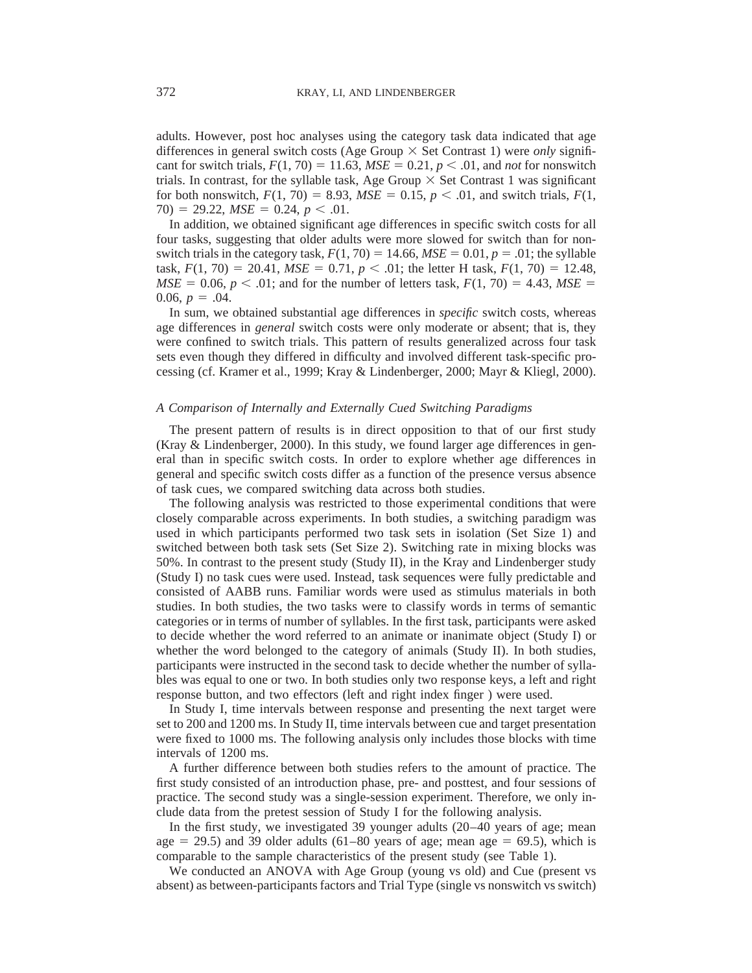adults. However, post hoc analyses using the category task data indicated that age differences in general switch costs (Age Group  $\times$  Set Contrast 1) were *only* significant for switch trials,  $F(1, 70) = 11.63$ ,  $MSE = 0.21$ ,  $p < .01$ , and *not* for nonswitch trials. In contrast, for the syllable task, Age Group  $\times$  Set Contrast 1 was significant for both nonswitch,  $F(1, 70) = 8.93$ ,  $MSE = 0.15$ ,  $p < .01$ , and switch trials,  $F(1, 70) = 8.93$ ,  $MSE = 0.15$ ,  $p < .01$ , and switch trials,  $F(1, 70) = 8.93$  $70) = 29.22$ ,  $MSE = 0.24$ ,  $p < .01$ .

In addition, we obtained significant age differences in specific switch costs for all four tasks, suggesting that older adults were more slowed for switch than for nonswitch trials in the category task,  $F(1, 70) = 14.66$ ,  $MSE = 0.01$ ,  $p = .01$ ; the syllable task,  $F(1, 70) = 20.41$ ,  $MSE = 0.71$ ,  $p < .01$ ; the letter H task,  $F(1, 70) = 12.48$ ,  $MSE = 0.06$ ,  $p < .01$ ; and for the number of letters task,  $F(1, 70) = 4.43$ ,  $MSE =$ 0.06,  $p = .04$ .

In sum, we obtained substantial age differences in *specific* switch costs, whereas age differences in *general* switch costs were only moderate or absent; that is, they were confined to switch trials. This pattern of results generalized across four task sets even though they differed in difficulty and involved different task-specific processing (cf. Kramer et al., 1999; Kray & Lindenberger, 2000; Mayr & Kliegl, 2000).

## *A Comparison of Internally and Externally Cued Switching Paradigms*

The present pattern of results is in direct opposition to that of our first study (Kray & Lindenberger, 2000). In this study, we found larger age differences in general than in specific switch costs. In order to explore whether age differences in general and specific switch costs differ as a function of the presence versus absence of task cues, we compared switching data across both studies.

The following analysis was restricted to those experimental conditions that were closely comparable across experiments. In both studies, a switching paradigm was used in which participants performed two task sets in isolation (Set Size 1) and switched between both task sets (Set Size 2). Switching rate in mixing blocks was 50%. In contrast to the present study (Study II), in the Kray and Lindenberger study (Study I) no task cues were used. Instead, task sequences were fully predictable and consisted of AABB runs. Familiar words were used as stimulus materials in both studies. In both studies, the two tasks were to classify words in terms of semantic categories or in terms of number of syllables. In the first task, participants were asked to decide whether the word referred to an animate or inanimate object (Study I) or whether the word belonged to the category of animals (Study II). In both studies, participants were instructed in the second task to decide whether the number of syllables was equal to one or two. In both studies only two response keys, a left and right response button, and two effectors (left and right index finger ) were used.

In Study I, time intervals between response and presenting the next target were set to 200 and 1200 ms. In Study II, time intervals between cue and target presentation were fixed to 1000 ms. The following analysis only includes those blocks with time intervals of 1200 ms.

A further difference between both studies refers to the amount of practice. The first study consisted of an introduction phase, pre- and posttest, and four sessions of practice. The second study was a single-session experiment. Therefore, we only include data from the pretest session of Study I for the following analysis.

In the first study, we investigated 39 younger adults (20–40 years of age; mean age  $= 29.5$ ) and 39 older adults (61–80 years of age; mean age  $= 69.5$ ), which is comparable to the sample characteristics of the present study (see Table 1).

We conducted an ANOVA with Age Group (young vs old) and Cue (present vs absent) as between-participants factors and Trial Type (single vs nonswitch vs switch)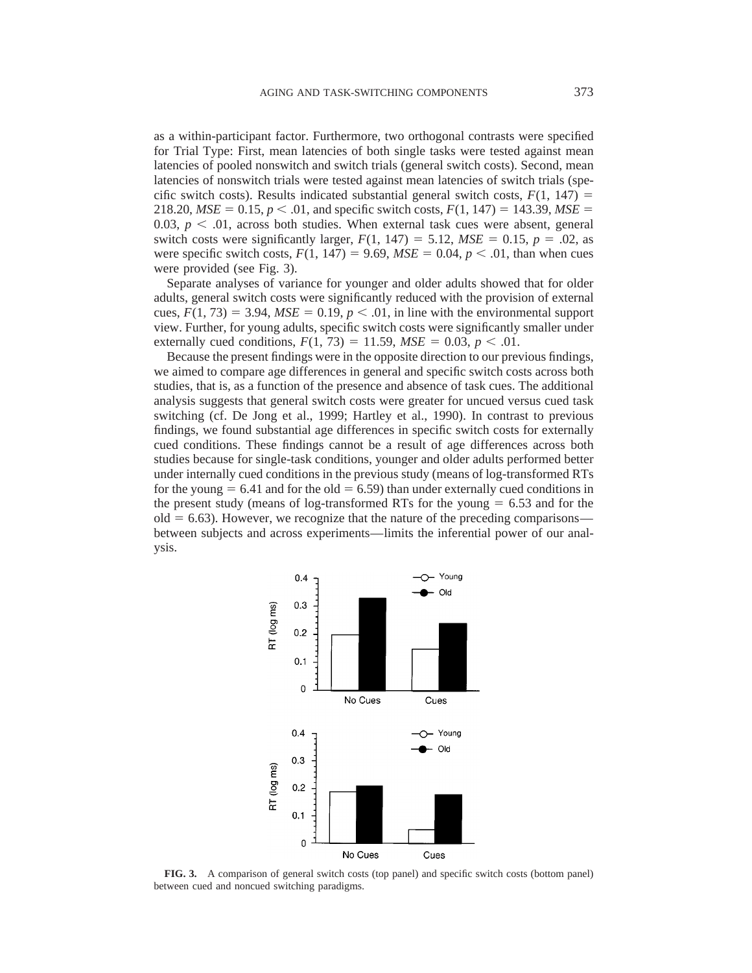as a within-participant factor. Furthermore, two orthogonal contrasts were specified for Trial Type: First, mean latencies of both single tasks were tested against mean latencies of pooled nonswitch and switch trials (general switch costs). Second, mean latencies of nonswitch trials were tested against mean latencies of switch trials (specific switch costs). Results indicated substantial general switch costs,  $F(1, 147) =$ 218.20,  $MSE = 0.15$ ,  $p < .01$ , and specific switch costs,  $F(1, 147) = 143.39$ ,  $MSE =$ 0.03,  $p \leq 0.01$ , across both studies. When external task cues were absent, general switch costs were significantly larger,  $F(1, 147) = 5.12$ ,  $MSE = 0.15$ ,  $p = .02$ , as were specific switch costs,  $F(1, 147) = 9.69$ ,  $MSE = 0.04$ ,  $p < .01$ , than when cues were provided (see Fig. 3).

Separate analyses of variance for younger and older adults showed that for older adults, general switch costs were significantly reduced with the provision of external cues,  $F(1, 73) = 3.94$ ,  $MSE = 0.19$ ,  $p < .01$ , in line with the environmental support view. Further, for young adults, specific switch costs were significantly smaller under externally cued conditions,  $F(1, 73) = 11.59$ ,  $MSE = 0.03$ ,  $p < .01$ .

Because the present findings were in the opposite direction to our previous findings, we aimed to compare age differences in general and specific switch costs across both studies, that is, as a function of the presence and absence of task cues. The additional analysis suggests that general switch costs were greater for uncued versus cued task switching (cf. De Jong et al., 1999; Hartley et al., 1990). In contrast to previous findings, we found substantial age differences in specific switch costs for externally cued conditions. These findings cannot be a result of age differences across both studies because for single-task conditions, younger and older adults performed better under internally cued conditions in the previous study (means of log-transformed RTs for the young  $= 6.41$  and for the old  $= 6.59$ ) than under externally cued conditions in the present study (means of log-transformed RTs for the young  $= 6.53$  and for the  $old = 6.63$ ). However, we recognize that the nature of the preceding comparisons between subjects and across experiments—limits the inferential power of our analysis.



**FIG. 3.** A comparison of general switch costs (top panel) and specific switch costs (bottom panel) between cued and noncued switching paradigms.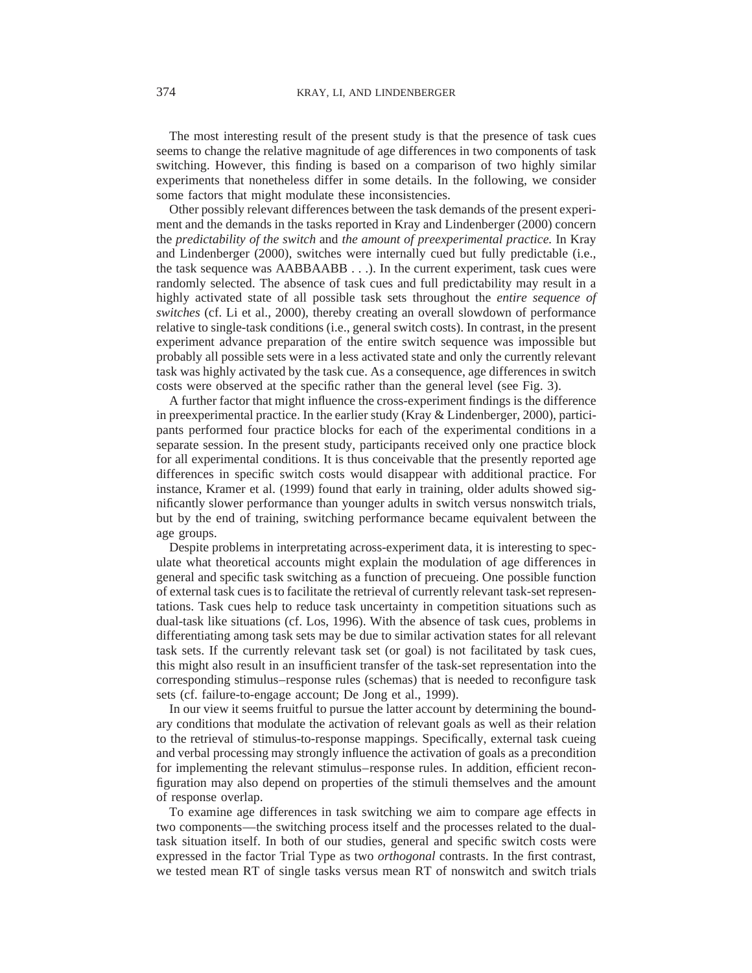The most interesting result of the present study is that the presence of task cues seems to change the relative magnitude of age differences in two components of task switching. However, this finding is based on a comparison of two highly similar experiments that nonetheless differ in some details. In the following, we consider some factors that might modulate these inconsistencies.

Other possibly relevant differences between the task demands of the present experiment and the demands in the tasks reported in Kray and Lindenberger (2000) concern the *predictability of the switch* and *the amount of preexperimental practice.* In Kray and Lindenberger (2000), switches were internally cued but fully predictable (i.e., the task sequence was AABBAABB . . .). In the current experiment, task cues were randomly selected. The absence of task cues and full predictability may result in a highly activated state of all possible task sets throughout the *entire sequence of switches* (cf. Li et al., 2000), thereby creating an overall slowdown of performance relative to single-task conditions (i.e., general switch costs). In contrast, in the present experiment advance preparation of the entire switch sequence was impossible but probably all possible sets were in a less activated state and only the currently relevant task was highly activated by the task cue. As a consequence, age differences in switch costs were observed at the specific rather than the general level (see Fig. 3).

A further factor that might influence the cross-experiment findings is the difference in preexperimental practice. In the earlier study (Kray  $&$  Lindenberger, 2000), participants performed four practice blocks for each of the experimental conditions in a separate session. In the present study, participants received only one practice block for all experimental conditions. It is thus conceivable that the presently reported age differences in specific switch costs would disappear with additional practice. For instance, Kramer et al. (1999) found that early in training, older adults showed significantly slower performance than younger adults in switch versus nonswitch trials, but by the end of training, switching performance became equivalent between the age groups.

Despite problems in interpretating across-experiment data, it is interesting to speculate what theoretical accounts might explain the modulation of age differences in general and specific task switching as a function of precueing. One possible function of external task cues is to facilitate the retrieval of currently relevant task-set representations. Task cues help to reduce task uncertainty in competition situations such as dual-task like situations (cf. Los, 1996). With the absence of task cues, problems in differentiating among task sets may be due to similar activation states for all relevant task sets. If the currently relevant task set (or goal) is not facilitated by task cues, this might also result in an insufficient transfer of the task-set representation into the corresponding stimulus–response rules (schemas) that is needed to reconfigure task sets (cf. failure-to-engage account; De Jong et al., 1999).

In our view it seems fruitful to pursue the latter account by determining the boundary conditions that modulate the activation of relevant goals as well as their relation to the retrieval of stimulus-to-response mappings. Specifically, external task cueing and verbal processing may strongly influence the activation of goals as a precondition for implementing the relevant stimulus–response rules. In addition, efficient reconfiguration may also depend on properties of the stimuli themselves and the amount of response overlap.

To examine age differences in task switching we aim to compare age effects in two components—the switching process itself and the processes related to the dualtask situation itself. In both of our studies, general and specific switch costs were expressed in the factor Trial Type as two *orthogonal* contrasts. In the first contrast, we tested mean RT of single tasks versus mean RT of nonswitch and switch trials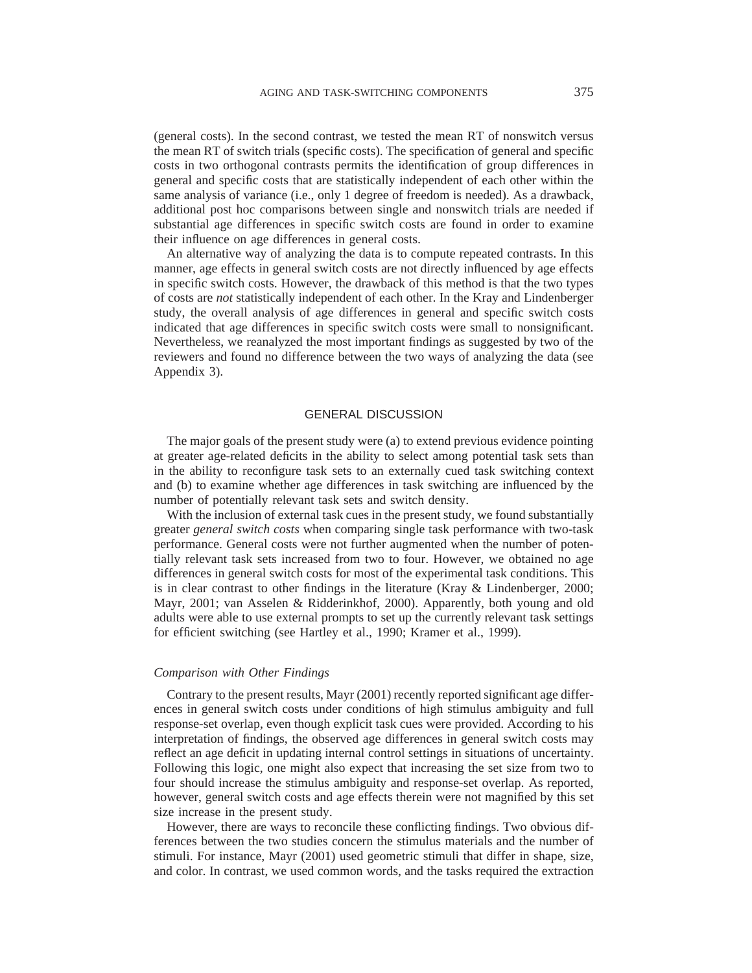(general costs). In the second contrast, we tested the mean RT of nonswitch versus the mean RT of switch trials (specific costs). The specification of general and specific costs in two orthogonal contrasts permits the identification of group differences in general and specific costs that are statistically independent of each other within the same analysis of variance (i.e., only 1 degree of freedom is needed). As a drawback, additional post hoc comparisons between single and nonswitch trials are needed if substantial age differences in specific switch costs are found in order to examine their influence on age differences in general costs.

An alternative way of analyzing the data is to compute repeated contrasts. In this manner, age effects in general switch costs are not directly influenced by age effects in specific switch costs. However, the drawback of this method is that the two types of costs are *not* statistically independent of each other. In the Kray and Lindenberger study, the overall analysis of age differences in general and specific switch costs indicated that age differences in specific switch costs were small to nonsignificant. Nevertheless, we reanalyzed the most important findings as suggested by two of the reviewers and found no difference between the two ways of analyzing the data (see Appendix 3).

## GENERAL DISCUSSION

The major goals of the present study were (a) to extend previous evidence pointing at greater age-related deficits in the ability to select among potential task sets than in the ability to reconfigure task sets to an externally cued task switching context and (b) to examine whether age differences in task switching are influenced by the number of potentially relevant task sets and switch density.

With the inclusion of external task cues in the present study, we found substantially greater *general switch costs* when comparing single task performance with two-task performance. General costs were not further augmented when the number of potentially relevant task sets increased from two to four. However, we obtained no age differences in general switch costs for most of the experimental task conditions. This is in clear contrast to other findings in the literature (Kray & Lindenberger, 2000; Mayr, 2001; van Asselen & Ridderinkhof, 2000). Apparently, both young and old adults were able to use external prompts to set up the currently relevant task settings for efficient switching (see Hartley et al., 1990; Kramer et al., 1999).

#### *Comparison with Other Findings*

Contrary to the present results, Mayr (2001) recently reported significant age differences in general switch costs under conditions of high stimulus ambiguity and full response-set overlap, even though explicit task cues were provided. According to his interpretation of findings, the observed age differences in general switch costs may reflect an age deficit in updating internal control settings in situations of uncertainty. Following this logic, one might also expect that increasing the set size from two to four should increase the stimulus ambiguity and response-set overlap. As reported, however, general switch costs and age effects therein were not magnified by this set size increase in the present study.

However, there are ways to reconcile these conflicting findings. Two obvious differences between the two studies concern the stimulus materials and the number of stimuli. For instance, Mayr (2001) used geometric stimuli that differ in shape, size, and color. In contrast, we used common words, and the tasks required the extraction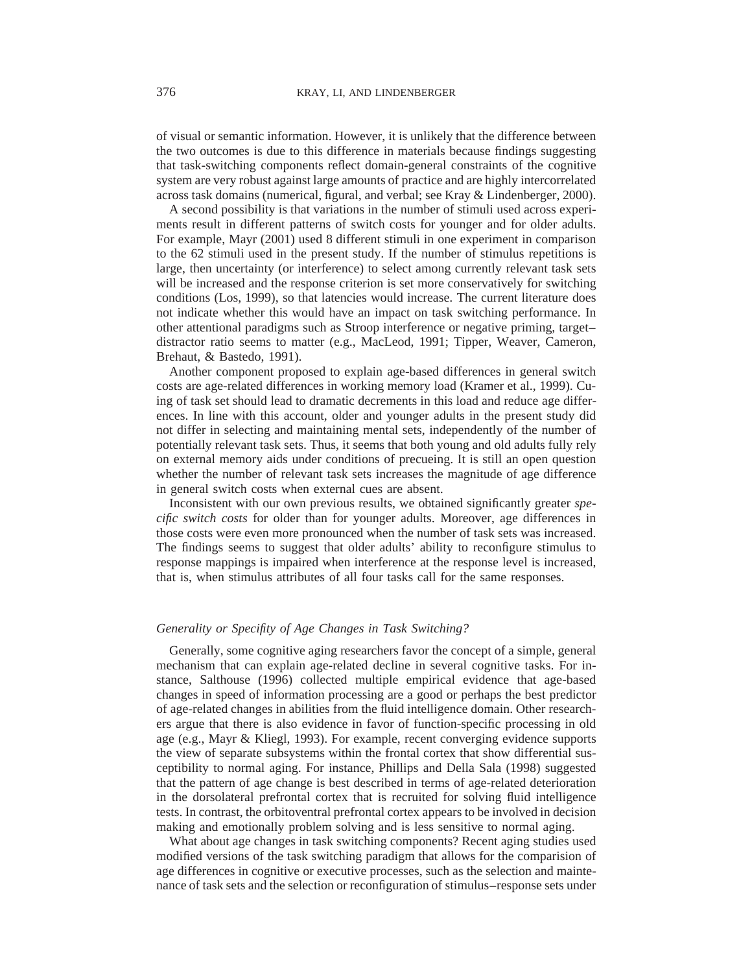of visual or semantic information. However, it is unlikely that the difference between the two outcomes is due to this difference in materials because findings suggesting that task-switching components reflect domain-general constraints of the cognitive system are very robust against large amounts of practice and are highly intercorrelated across task domains (numerical, figural, and verbal; see Kray & Lindenberger, 2000).

A second possibility is that variations in the number of stimuli used across experiments result in different patterns of switch costs for younger and for older adults. For example, Mayr (2001) used 8 different stimuli in one experiment in comparison to the 62 stimuli used in the present study. If the number of stimulus repetitions is large, then uncertainty (or interference) to select among currently relevant task sets will be increased and the response criterion is set more conservatively for switching conditions (Los, 1999), so that latencies would increase. The current literature does not indicate whether this would have an impact on task switching performance. In other attentional paradigms such as Stroop interference or negative priming, target– distractor ratio seems to matter (e.g., MacLeod, 1991; Tipper, Weaver, Cameron, Brehaut, & Bastedo, 1991).

Another component proposed to explain age-based differences in general switch costs are age-related differences in working memory load (Kramer et al., 1999). Cuing of task set should lead to dramatic decrements in this load and reduce age differences. In line with this account, older and younger adults in the present study did not differ in selecting and maintaining mental sets, independently of the number of potentially relevant task sets. Thus, it seems that both young and old adults fully rely on external memory aids under conditions of precueing. It is still an open question whether the number of relevant task sets increases the magnitude of age difference in general switch costs when external cues are absent.

Inconsistent with our own previous results, we obtained significantly greater *specific switch costs* for older than for younger adults. Moreover, age differences in those costs were even more pronounced when the number of task sets was increased. The findings seems to suggest that older adults' ability to reconfigure stimulus to response mappings is impaired when interference at the response level is increased, that is, when stimulus attributes of all four tasks call for the same responses.

## *Generality or Specifity of Age Changes in Task Switching?*

Generally, some cognitive aging researchers favor the concept of a simple, general mechanism that can explain age-related decline in several cognitive tasks. For instance, Salthouse (1996) collected multiple empirical evidence that age-based changes in speed of information processing are a good or perhaps the best predictor of age-related changes in abilities from the fluid intelligence domain. Other researchers argue that there is also evidence in favor of function-specific processing in old age (e.g., Mayr & Kliegl, 1993). For example, recent converging evidence supports the view of separate subsystems within the frontal cortex that show differential susceptibility to normal aging. For instance, Phillips and Della Sala (1998) suggested that the pattern of age change is best described in terms of age-related deterioration in the dorsolateral prefrontal cortex that is recruited for solving fluid intelligence tests. In contrast, the orbitoventral prefrontal cortex appears to be involved in decision making and emotionally problem solving and is less sensitive to normal aging.

What about age changes in task switching components? Recent aging studies used modified versions of the task switching paradigm that allows for the comparision of age differences in cognitive or executive processes, such as the selection and maintenance of task sets and the selection or reconfiguration of stimulus–response sets under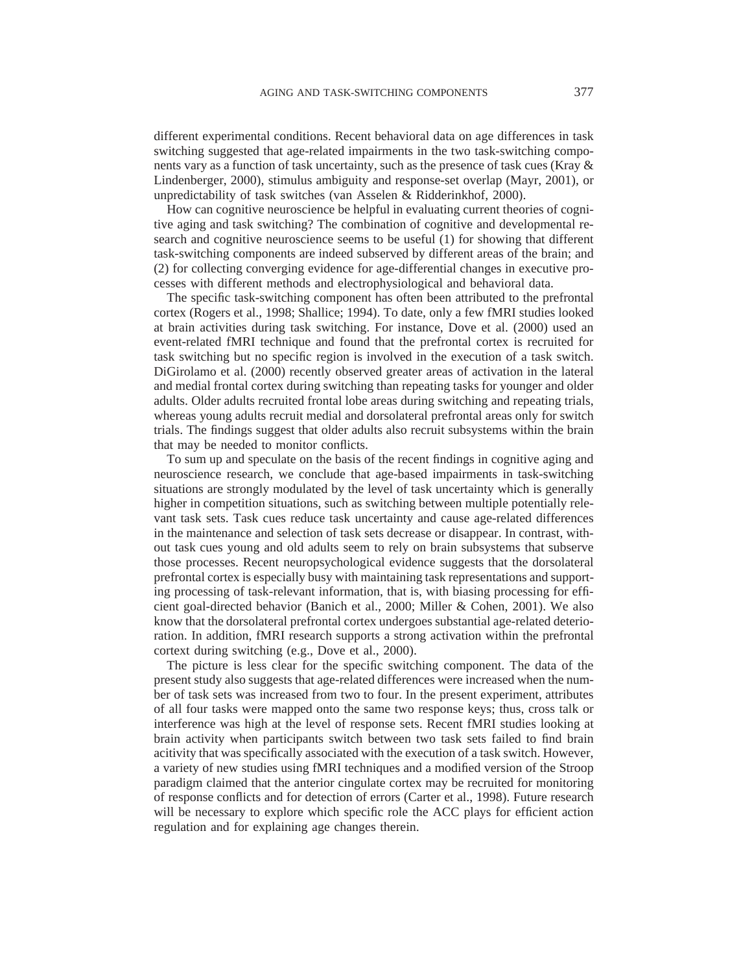different experimental conditions. Recent behavioral data on age differences in task switching suggested that age-related impairments in the two task-switching components vary as a function of task uncertainty, such as the presence of task cues (Kray & Lindenberger, 2000), stimulus ambiguity and response-set overlap (Mayr, 2001), or unpredictability of task switches (van Asselen & Ridderinkhof, 2000).

How can cognitive neuroscience be helpful in evaluating current theories of cognitive aging and task switching? The combination of cognitive and developmental research and cognitive neuroscience seems to be useful (1) for showing that different task-switching components are indeed subserved by different areas of the brain; and (2) for collecting converging evidence for age-differential changes in executive processes with different methods and electrophysiological and behavioral data.

The specific task-switching component has often been attributed to the prefrontal cortex (Rogers et al., 1998; Shallice; 1994). To date, only a few fMRI studies looked at brain activities during task switching. For instance, Dove et al. (2000) used an event-related fMRI technique and found that the prefrontal cortex is recruited for task switching but no specific region is involved in the execution of a task switch. DiGirolamo et al. (2000) recently observed greater areas of activation in the lateral and medial frontal cortex during switching than repeating tasks for younger and older adults. Older adults recruited frontal lobe areas during switching and repeating trials, whereas young adults recruit medial and dorsolateral prefrontal areas only for switch trials. The findings suggest that older adults also recruit subsystems within the brain that may be needed to monitor conflicts.

To sum up and speculate on the basis of the recent findings in cognitive aging and neuroscience research, we conclude that age-based impairments in task-switching situations are strongly modulated by the level of task uncertainty which is generally higher in competition situations, such as switching between multiple potentially relevant task sets. Task cues reduce task uncertainty and cause age-related differences in the maintenance and selection of task sets decrease or disappear. In contrast, without task cues young and old adults seem to rely on brain subsystems that subserve those processes. Recent neuropsychological evidence suggests that the dorsolateral prefrontal cortex is especially busy with maintaining task representations and supporting processing of task-relevant information, that is, with biasing processing for efficient goal-directed behavior (Banich et al., 2000; Miller & Cohen, 2001). We also know that the dorsolateral prefrontal cortex undergoes substantial age-related deterioration. In addition, fMRI research supports a strong activation within the prefrontal cortext during switching (e.g., Dove et al., 2000).

The picture is less clear for the specific switching component. The data of the present study also suggests that age-related differences were increased when the number of task sets was increased from two to four. In the present experiment, attributes of all four tasks were mapped onto the same two response keys; thus, cross talk or interference was high at the level of response sets. Recent fMRI studies looking at brain activity when participants switch between two task sets failed to find brain acitivity that was specifically associated with the execution of a task switch. However, a variety of new studies using fMRI techniques and a modified version of the Stroop paradigm claimed that the anterior cingulate cortex may be recruited for monitoring of response conflicts and for detection of errors (Carter et al., 1998). Future research will be necessary to explore which specific role the ACC plays for efficient action regulation and for explaining age changes therein.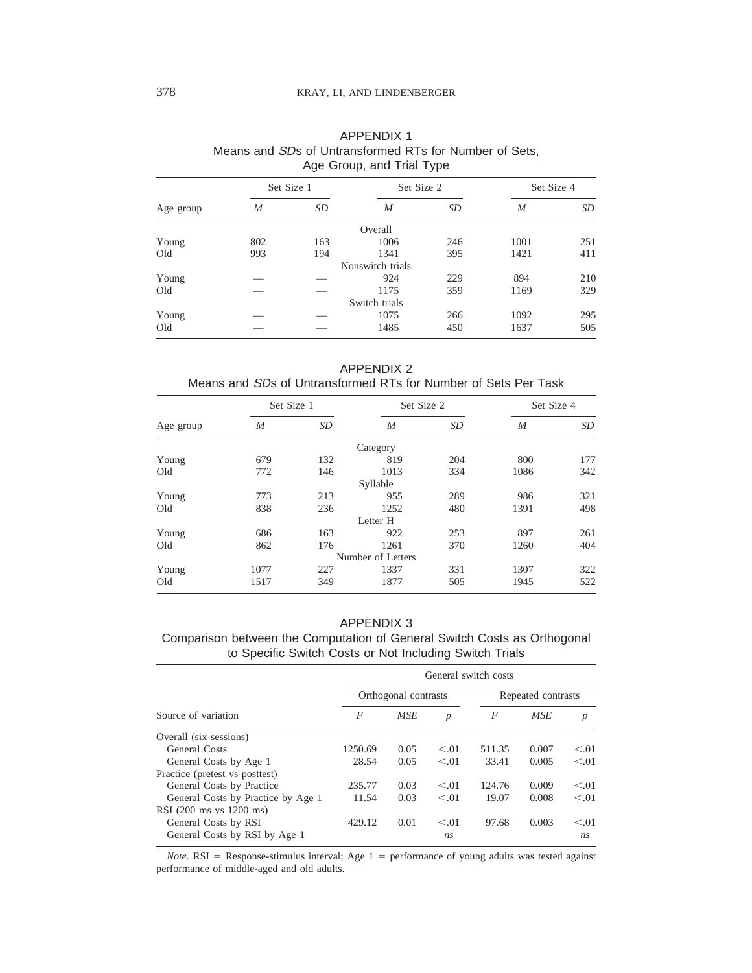|           | Set Size 1 |     | Set Size 2       |     | Set Size 4 |     |
|-----------|------------|-----|------------------|-----|------------|-----|
| Age group | M          | SD  | M                | SD  | M          | SD  |
|           |            |     | Overall          |     |            |     |
| Young     | 802        | 163 | 1006             | 246 | 1001       | 251 |
| Old       | 993        | 194 | 1341             | 395 | 1421       | 411 |
|           |            |     | Nonswitch trials |     |            |     |
| Young     |            |     | 924              | 229 | 894        | 210 |
| Old       |            |     | 1175             | 359 | 1169       | 329 |
|           |            |     | Switch trials    |     |            |     |
| Young     |            |     | 1075             | 266 | 1092       | 295 |
| Old       |            |     | 1485             | 450 | 1637       | 505 |

# APPENDIX 1 Means and SDs of Untransformed RTs for Number of Sets, Age Group, and Trial Type

# APPENDIX 2

# Means and SDs of Untransformed RTs for Number of Sets Per Task

|           | Set Size 1 |     | Set Size 2        |     | Set Size 4 |     |
|-----------|------------|-----|-------------------|-----|------------|-----|
| Age group | M          | SD  | M                 | SD  | M          | SD  |
|           |            |     | Category          |     |            |     |
| Young     | 679        | 132 | 819               | 204 | 800        | 177 |
| Old       | 772        | 146 | 1013              | 334 | 1086       | 342 |
|           |            |     | Syllable          |     |            |     |
| Young     | 773        | 213 | 955               | 289 | 986        | 321 |
| Old       | 838        | 236 | 1252              | 480 | 1391       | 498 |
|           |            |     | Letter H          |     |            |     |
| Young     | 686        | 163 | 922               | 253 | 897        | 261 |
| Old       | 862        | 176 | 1261              | 370 | 1260       | 404 |
|           |            |     | Number of Letters |     |            |     |
| Young     | 1077       | 227 | 1337              | 331 | 1307       | 322 |
| Old       | 1517       | 349 | 1877              | 505 | 1945       | 522 |

# APPENDIX 3

# Comparison between the Computation of General Switch Costs as Orthogonal to Specific Switch Costs or Not Including Switch Trials

|                                    | General switch costs |                      |                  |                    |       |                  |  |  |
|------------------------------------|----------------------|----------------------|------------------|--------------------|-------|------------------|--|--|
|                                    |                      | Orthogonal contrasts |                  | Repeated contrasts |       |                  |  |  |
| Source of variation                | F                    | <i>MSE</i>           | $\boldsymbol{p}$ | F                  | MSE   | $\boldsymbol{p}$ |  |  |
| Overall (six sessions)             |                      |                      |                  |                    |       |                  |  |  |
| General Costs                      | 1250.69              | 0.05                 | < 0.01           | 511.35             | 0.007 | < 0.01           |  |  |
| General Costs by Age 1             | 28.54                | 0.05                 | < 0.01           | 33.41              | 0.005 | < 0.01           |  |  |
| Practice (pretest vs posttest)     |                      |                      |                  |                    |       |                  |  |  |
| General Costs by Practice          | 235.77               | 0.03                 | < 0.01           | 124.76             | 0.009 | < 0.01           |  |  |
| General Costs by Practice by Age 1 | 11.54                | 0.03                 | < 0.01           | 19.07              | 0.008 | < 0.01           |  |  |
| RSI (200 ms vs 1200 ms)            |                      |                      |                  |                    |       |                  |  |  |
| General Costs by RSI               | 429.12               | 0.01                 | < 0.01           | 97.68              | 0.003 | < 0.01           |  |  |
| General Costs by RSI by Age 1      |                      |                      | ns               |                    |       | ns               |  |  |

*Note.* RSI = Response-stimulus interval; Age  $1$  = performance of young adults was tested against performance of middle-aged and old adults.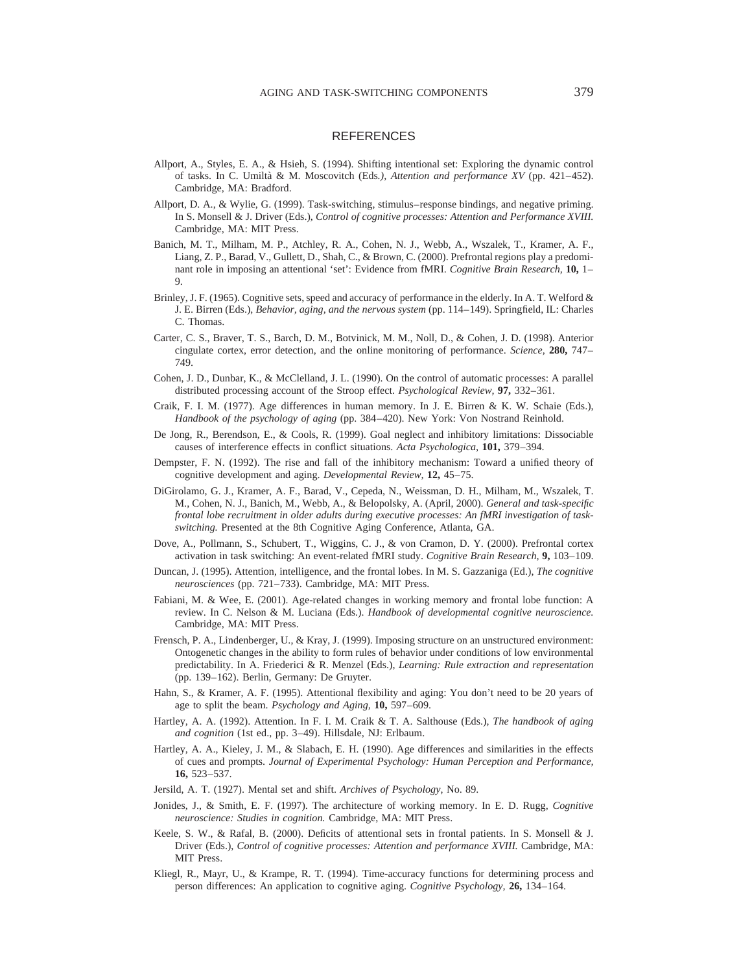# **REFERENCES**

- Allport, A., Styles, E. A., & Hsieh, S. (1994). Shifting intentional set: Exploring the dynamic control of tasks. In C. Umilta` & M. Moscovitch (Eds*.), Attention and performance XV* (pp. 421–452). Cambridge, MA: Bradford.
- Allport, D. A., & Wylie, G. (1999). Task-switching, stimulus–response bindings, and negative priming. In S. Monsell & J. Driver (Eds.), *Control of cognitive processes: Attention and Performance XVIII.* Cambridge, MA: MIT Press.
- Banich, M. T., Milham, M. P., Atchley, R. A., Cohen, N. J., Webb, A., Wszalek, T., Kramer, A. F., Liang, Z. P., Barad, V., Gullett, D., Shah, C., & Brown, C. (2000). Prefrontal regions play a predominant role in imposing an attentional 'set': Evidence from fMRI. *Cognitive Brain Research,* **10,** 1– 9.
- Brinley, J. F. (1965). Cognitive sets, speed and accuracy of performance in the elderly. In A. T. Welford & J. E. Birren (Eds.), *Behavior, aging, and the nervous system* (pp. 114–149). Springfield, IL: Charles C. Thomas.
- Carter, C. S., Braver, T. S., Barch, D. M., Botvinick, M. M., Noll, D., & Cohen, J. D. (1998). Anterior cingulate cortex, error detection, and the online monitoring of performance. *Science,* **280,** 747– 749.
- Cohen, J. D., Dunbar, K., & McClelland, J. L. (1990). On the control of automatic processes: A parallel distributed processing account of the Stroop effect. *Psychological Review,* **97,** 332–361.
- Craik, F. I. M. (1977). Age differences in human memory. In J. E. Birren & K. W. Schaie (Eds.), *Handbook of the psychology of aging* (pp. 384–420). New York: Von Nostrand Reinhold.
- De Jong, R., Berendson, E., & Cools, R. (1999). Goal neglect and inhibitory limitations: Dissociable causes of interference effects in conflict situations. *Acta Psychologica,* **101,** 379–394.
- Dempster, F. N. (1992). The rise and fall of the inhibitory mechanism: Toward a unified theory of cognitive development and aging. *Developmental Review,* **12,** 45–75.
- DiGirolamo, G. J., Kramer, A. F., Barad, V., Cepeda, N., Weissman, D. H., Milham, M., Wszalek, T. M., Cohen, N. J., Banich, M., Webb, A., & Belopolsky, A. (April, 2000). *General and task-specific frontal lobe recruitment in older adults during executive processes: An fMRI investigation of taskswitching.* Presented at the 8th Cognitive Aging Conference, Atlanta, GA.
- Dove, A., Pollmann, S., Schubert, T., Wiggins, C. J., & von Cramon, D. Y. (2000). Prefrontal cortex activation in task switching: An event-related fMRI study. *Cognitive Brain Research,* **9,** 103–109.
- Duncan, J. (1995). Attention, intelligence, and the frontal lobes. In M. S. Gazzaniga (Ed.), *The cognitive neurosciences* (pp. 721–733). Cambridge, MA: MIT Press.
- Fabiani, M. & Wee, E. (2001). Age-related changes in working memory and frontal lobe function: A review. In C. Nelson & M. Luciana (Eds.). *Handbook of developmental cognitive neuroscience.* Cambridge, MA: MIT Press.
- Frensch, P. A., Lindenberger, U., & Kray, J. (1999). Imposing structure on an unstructured environment: Ontogenetic changes in the ability to form rules of behavior under conditions of low environmental predictability. In A. Friederici & R. Menzel (Eds.), *Learning: Rule extraction and representation* (pp. 139–162). Berlin, Germany: De Gruyter.
- Hahn, S., & Kramer, A. F. (1995). Attentional flexibility and aging: You don't need to be 20 years of age to split the beam. *Psychology and Aging,* **10,** 597–609.
- Hartley, A. A. (1992). Attention. In F. I. M. Craik & T. A. Salthouse (Eds.), *The handbook of aging and cognition* (1st ed., pp. 3–49). Hillsdale, NJ: Erlbaum.
- Hartley, A. A., Kieley, J. M., & Slabach, E. H. (1990). Age differences and similarities in the effects of cues and prompts. *Journal of Experimental Psychology: Human Perception and Performance,* **16,** 523–537.
- Jersild, A. T. (1927). Mental set and shift. *Archives of Psychology,* No. 89.
- Jonides, J., & Smith, E. F. (1997). The architecture of working memory. In E. D. Rugg, *Cognitive neuroscience: Studies in cognition.* Cambridge, MA: MIT Press.
- Keele, S. W., & Rafal, B. (2000). Deficits of attentional sets in frontal patients. In S. Monsell & J. Driver (Eds.), *Control of cognitive processes: Attention and performance XVIII.* Cambridge, MA: MIT Press.
- Kliegl, R., Mayr, U., & Krampe, R. T. (1994). Time-accuracy functions for determining process and person differences: An application to cognitive aging. *Cognitive Psychology,* **26,** 134–164.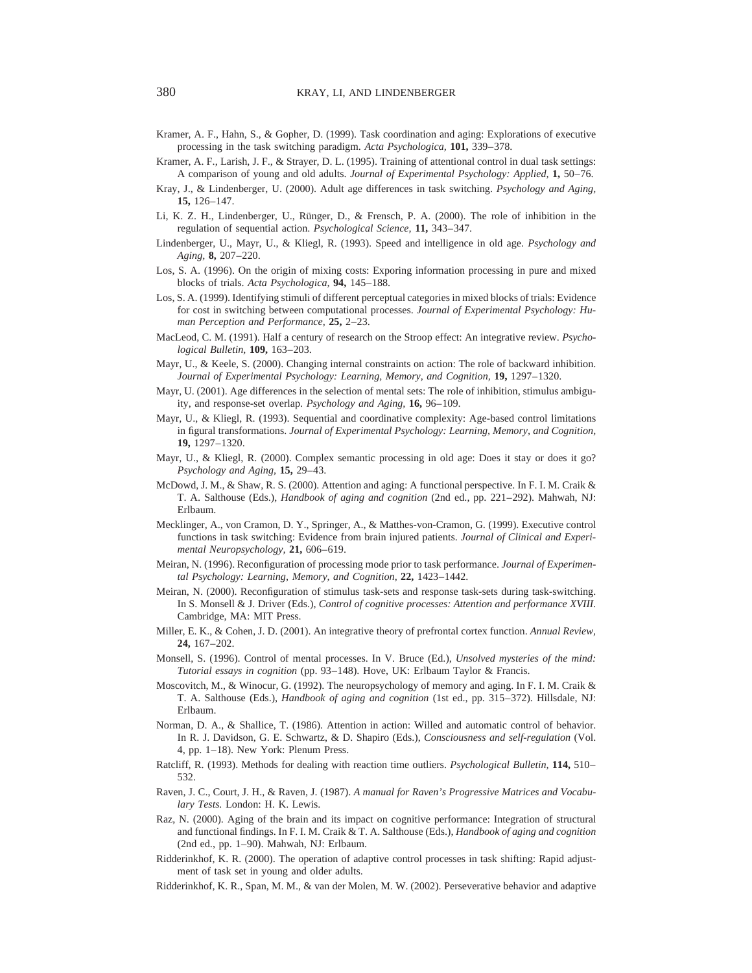- Kramer, A. F., Hahn, S., & Gopher, D. (1999). Task coordination and aging: Explorations of executive processing in the task switching paradigm. *Acta Psychologica,* **101,** 339–378.
- Kramer, A. F., Larish, J. F., & Strayer, D. L. (1995). Training of attentional control in dual task settings: A comparison of young and old adults. *Journal of Experimental Psychology: Applied,* **1,** 50–76.
- Kray, J., & Lindenberger, U. (2000). Adult age differences in task switching. *Psychology and Aging,* **15,** 126–147.
- Li, K. Z. H., Lindenberger, U., Rünger, D., & Frensch, P. A. (2000). The role of inhibition in the regulation of sequential action. *Psychological Science,* **11,** 343–347.
- Lindenberger, U., Mayr, U., & Kliegl, R. (1993). Speed and intelligence in old age. *Psychology and Aging,* **8,** 207–220.
- Los, S. A. (1996). On the origin of mixing costs: Exporing information processing in pure and mixed blocks of trials. *Acta Psychologica,* **94,** 145–188.
- Los, S. A. (1999). Identifying stimuli of different perceptual categories in mixed blocks of trials: Evidence for cost in switching between computational processes. *Journal of Experimental Psychology: Human Perception and Performance,* **25,** 2–23.
- MacLeod, C. M. (1991). Half a century of research on the Stroop effect: An integrative review. *Psychological Bulletin,* **109,** 163–203.
- Mayr, U., & Keele, S. (2000). Changing internal constraints on action: The role of backward inhibition. *Journal of Experimental Psychology: Learning, Memory, and Cognition,* **19,** 1297–1320.
- Mayr, U. (2001). Age differences in the selection of mental sets: The role of inhibition, stimulus ambiguity, and response-set overlap. *Psychology and Aging,* **16,** 96–109.
- Mayr, U., & Kliegl, R. (1993). Sequential and coordinative complexity: Age-based control limitations in figural transformations. *Journal of Experimental Psychology: Learning, Memory, and Cognition,* **19,** 1297–1320.
- Mayr, U., & Kliegl, R. (2000). Complex semantic processing in old age: Does it stay or does it go? *Psychology and Aging,* **15,** 29–43.
- McDowd, J. M., & Shaw, R. S. (2000). Attention and aging: A functional perspective. In F. I. M. Craik & T. A. Salthouse (Eds.), *Handbook of aging and cognition* (2nd ed., pp. 221–292). Mahwah, NJ: Erlbaum.
- Mecklinger, A., von Cramon, D. Y., Springer, A., & Matthes-von-Cramon, G. (1999). Executive control functions in task switching: Evidence from brain injured patients. *Journal of Clinical and Experimental Neuropsychology,* **21,** 606–619.
- Meiran, N. (1996). Reconfiguration of processing mode prior to task performance. *Journal of Experimental Psychology: Learning, Memory, and Cognition,* **22,** 1423–1442.
- Meiran, N. (2000). Reconfiguration of stimulus task-sets and response task-sets during task-switching. In S. Monsell & J. Driver (Eds.), *Control of cognitive processes: Attention and performance XVIII.* Cambridge, MA: MIT Press.
- Miller, E. K., & Cohen, J. D. (2001). An integrative theory of prefrontal cortex function. *Annual Review,* **24,** 167–202.
- Monsell, S. (1996). Control of mental processes. In V. Bruce (Ed.), *Unsolved mysteries of the mind: Tutorial essays in cognition* (pp. 93–148). Hove, UK: Erlbaum Taylor & Francis.
- Moscovitch, M., & Winocur, G. (1992). The neuropsychology of memory and aging. In F. I. M. Craik & T. A. Salthouse (Eds.), *Handbook of aging and cognition* (1st ed., pp. 315–372). Hillsdale, NJ: Erlbaum.
- Norman, D. A., & Shallice, T. (1986). Attention in action: Willed and automatic control of behavior. In R. J. Davidson, G. E. Schwartz, & D. Shapiro (Eds.), *Consciousness and self-regulation* (Vol. 4, pp. 1–18). New York: Plenum Press.
- Ratcliff, R. (1993). Methods for dealing with reaction time outliers. *Psychological Bulletin,* **114,** 510– 532.
- Raven, J. C., Court, J. H., & Raven, J. (1987). *A manual for Raven's Progressive Matrices and Vocabulary Tests.* London: H. K. Lewis.
- Raz, N. (2000). Aging of the brain and its impact on cognitive performance: Integration of structural and functional findings. In F. I. M. Craik & T. A. Salthouse (Eds.), *Handbook of aging and cognition* (2nd ed., pp. 1–90). Mahwah, NJ: Erlbaum.
- Ridderinkhof, K. R. (2000). The operation of adaptive control processes in task shifting: Rapid adjustment of task set in young and older adults.
- Ridderinkhof, K. R., Span, M. M., & van der Molen, M. W. (2002). Perseverative behavior and adaptive